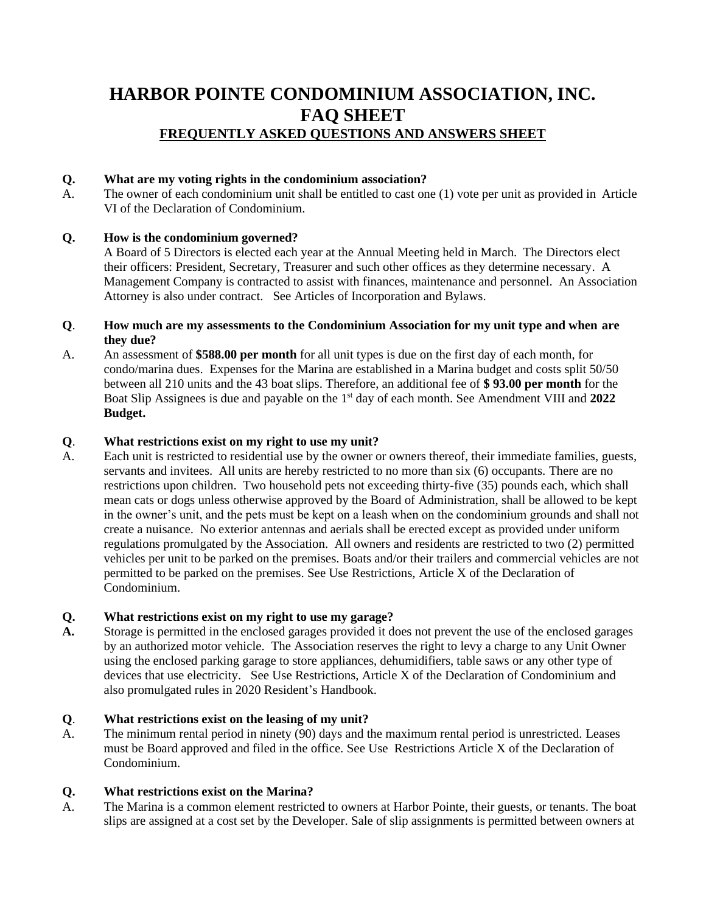# **HARBOR POINTE CONDOMINIUM ASSOCIATION, INC. FAQ SHEET FREQUENTLY ASKED QUESTIONS AND ANSWERS SHEET**

## **Q. What are my voting rights in the condominium association?**

A. The owner of each condominium unit shall be entitled to cast one (1) vote per unit as provided in Article VI of the Declaration of Condominium.

## **Q. How is the condominium governed?**

A Board of 5 Directors is elected each year at the Annual Meeting held in March. The Directors elect their officers: President, Secretary, Treasurer and such other offices as they determine necessary. A Management Company is contracted to assist with finances, maintenance and personnel. An Association Attorney is also under contract. See Articles of Incorporation and Bylaws.

#### **Q**. **How much are my assessments to the Condominium Association for my unit type and when are they due?**

A. An assessment of **\$588.00 per month** for all unit types is due on the first day of each month, for condo/marina dues. Expenses for the Marina are established in a Marina budget and costs split 50/50 between all 210 units and the 43 boat slips. Therefore, an additional fee of **\$ 93.00 per month** for the Boat Slip Assignees is due and payable on the 1<sup>st</sup> day of each month. See Amendment VIII and 2022 **Budget.**

### **Q**. **What restrictions exist on my right to use my unit?**

A. Each unit is restricted to residential use by the owner or owners thereof, their immediate families, guests, servants and invitees. All units are hereby restricted to no more than six (6) occupants. There are no restrictions upon children. Two household pets not exceeding thirty-five (35) pounds each, which shall mean cats or dogs unless otherwise approved by the Board of Administration, shall be allowed to be kept in the owner's unit, and the pets must be kept on a leash when on the condominium grounds and shall not create a nuisance. No exterior antennas and aerials shall be erected except as provided under uniform regulations promulgated by the Association. All owners and residents are restricted to two (2) permitted vehicles per unit to be parked on the premises. Boats and/or their trailers and commercial vehicles are not permitted to be parked on the premises. See Use Restrictions, Article X of the Declaration of Condominium.

### **Q. What restrictions exist on my right to use my garage?**

**A.** Storage is permitted in the enclosed garages provided it does not prevent the use of the enclosed garages by an authorized motor vehicle. The Association reserves the right to levy a charge to any Unit Owner using the enclosed parking garage to store appliances, dehumidifiers, table saws or any other type of devices that use electricity. See Use Restrictions, Article X of the Declaration of Condominium and also promulgated rules in 2020 Resident's Handbook.

### **Q**. **What restrictions exist on the leasing of my unit?**

A. The minimum rental period in ninety (90) days and the maximum rental period is unrestricted. Leases must be Board approved and filed in the office. See Use Restrictions Article X of the Declaration of Condominium.

### **Q. What restrictions exist on the Marina?**

A. The Marina is a common element restricted to owners at Harbor Pointe, their guests, or tenants. The boat slips are assigned at a cost set by the Developer. Sale of slip assignments is permitted between owners at